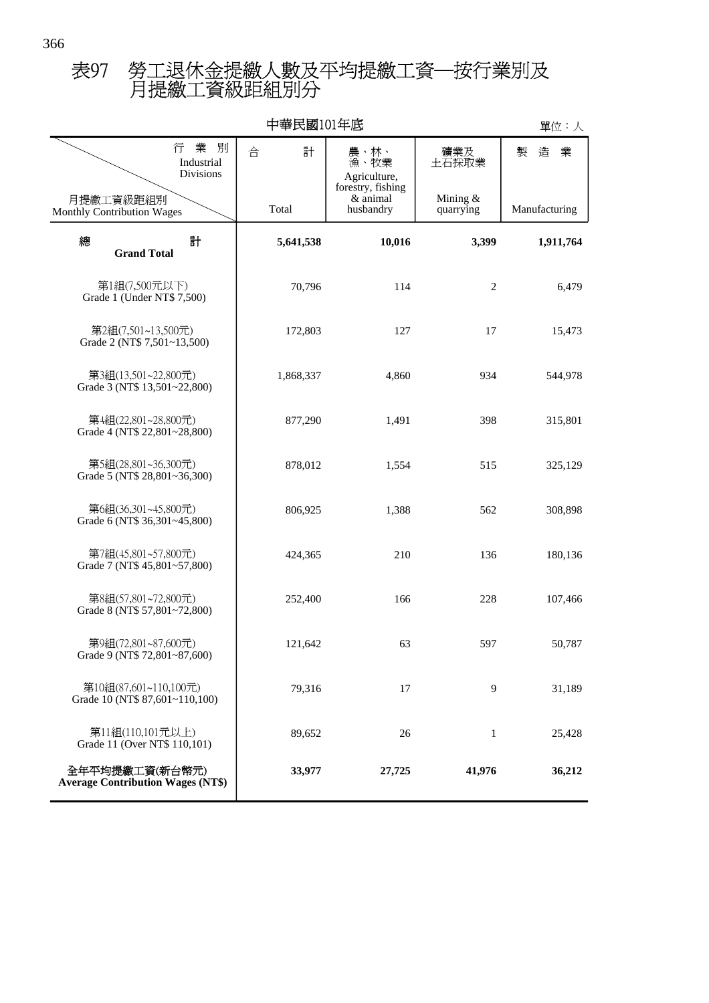## 月提繳工資級距組別分 表97 勞工退休金提繳人數及平均提繳工資─按行業別及

| 中華民國101年底                                                  |           |                                            |                         | 單位:人          |
|------------------------------------------------------------|-----------|--------------------------------------------|-------------------------|---------------|
| 業<br>別<br>行<br>Industrial<br><b>Divisions</b>              | 計<br>合    | 農、林、<br>漁、牧業<br>Agriculture,               | 礦業及<br>土石採取業            | 造<br>業<br>製   |
| 月提繳工資級距組別<br>Monthly Contribution Wages                    | Total     | forestry, fishing<br>& animal<br>husbandry | Mining $&$<br>quarrying | Manufacturing |
| 計<br>總<br><b>Grand Total</b>                               | 5,641,538 | 10,016                                     | 3,399                   | 1,911,764     |
| 第1組(7,500元以下)<br>Grade 1 (Under NT\$ 7,500)                | 70,796    | 114                                        | $\overline{2}$          | 6,479         |
| 第2組(7,501~13,500元)<br>Grade 2 (NT\$ 7,501~13,500)          | 172,803   | 127                                        | 17                      | 15,473        |
| 第3組(13,501~22,800元)<br>Grade 3 (NT\$ 13,501~22,800)        | 1,868,337 | 4,860                                      | 934                     | 544,978       |
| 第4組(22,801~28,800元)<br>Grade 4 (NT\$ 22,801~28,800)        | 877,290   | 1,491                                      | 398                     | 315,801       |
| 第5組(28,801~36,300元)<br>Grade 5 (NT\$ 28,801~36,300)        | 878,012   | 1,554                                      | 515                     | 325,129       |
| 第6組(36,301~45,800元)<br>Grade 6 (NT\$ 36,301~45,800)        | 806,925   | 1,388                                      | 562                     | 308,898       |
| 第7組(45,801~57,800元)<br>Grade 7 (NT\$ 45,801~57,800)        | 424,365   | 210                                        | 136                     | 180,136       |
| 第8組(57,801~72,800元)<br>Grade 8 (NT\$ 57,801~72,800)        | 252,400   | 166                                        | 228                     | 107,466       |
| 第9組(72,801~87,600元)<br>Grade 9 (NT\$ 72,801~87,600)        | 121,642   | 63                                         | 597                     | 50,787        |
| 第10組(87,601~110,100元)<br>Grade 10 (NT\$ 87,601~110,100)    | 79,316    | 17                                         | 9                       | 31,189        |
| 第11組(110,101元以上)<br>Grade 11 (Over NT\$ 110,101)           | 89,652    | 26                                         | 1                       | 25,428        |
| 全年平均提繳工資(新台幣元)<br><b>Average Contribution Wages (NT\$)</b> | 33,977    | 27,725                                     | 41,976                  | 36,212        |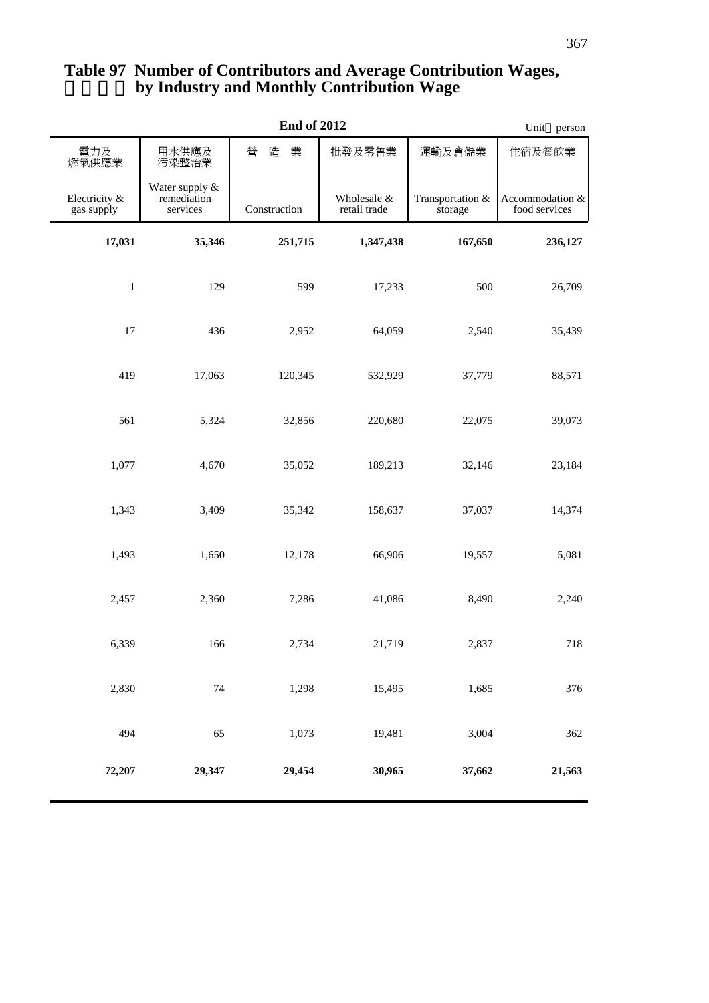| <b>End of 2012</b>          |                                           |              | Unit person                 |                             |                                  |
|-----------------------------|-------------------------------------------|--------------|-----------------------------|-----------------------------|----------------------------------|
| 電力及<br>燃氣供應業                | 用水供應及<br>污染整治業                            | 業<br>營<br>造  | 批發及零售業                      | 運輸及倉儲業                      | 住宿及餐飲業                           |
| Electricity &<br>gas supply | Water supply &<br>remediation<br>services | Construction | Wholesale &<br>retail trade | Transportation &<br>storage | Accommodation &<br>food services |
| 17,031                      | 35,346                                    | 251,715      | 1,347,438                   | 167,650                     | 236,127                          |
| $\,1$                       | 129                                       | 599          | 17,233                      | 500                         | 26,709                           |
| 17                          | 436                                       | 2,952        | 64,059                      | 2,540                       | 35,439                           |
| 419                         | 17,063                                    | 120,345      | 532,929                     | 37,779                      | 88,571                           |
| 561                         | 5,324                                     | 32,856       | 220,680                     | 22,075                      | 39,073                           |
| 1,077                       | 4,670                                     | 35,052       | 189,213                     | 32,146                      | 23,184                           |
| 1,343                       | 3,409                                     | 35,342       | 158,637                     | 37,037                      | 14,374                           |
| 1,493                       | 1,650                                     | 12,178       | 66,906                      | 19,557                      | 5,081                            |
| 2,457                       | 2,360                                     | 7,286        | 41,086                      | 8,490                       | 2,240                            |
| 6,339                       | 166                                       | 2,734        | 21,719                      | 2,837                       | 718                              |
| 2,830                       | $74\,$                                    | 1,298        | 15,495                      | 1,685                       | 376                              |
| 494                         | 65                                        | 1,073        | 19,481                      | 3,004                       | 362                              |
| 72,207                      | 29,347                                    | 29,454       | 30,965                      | 37,662                      | 21,563                           |

## **by Industry and Monthly Contribution Wage Table 97 Number of Contributors and Average Contribution Wages,**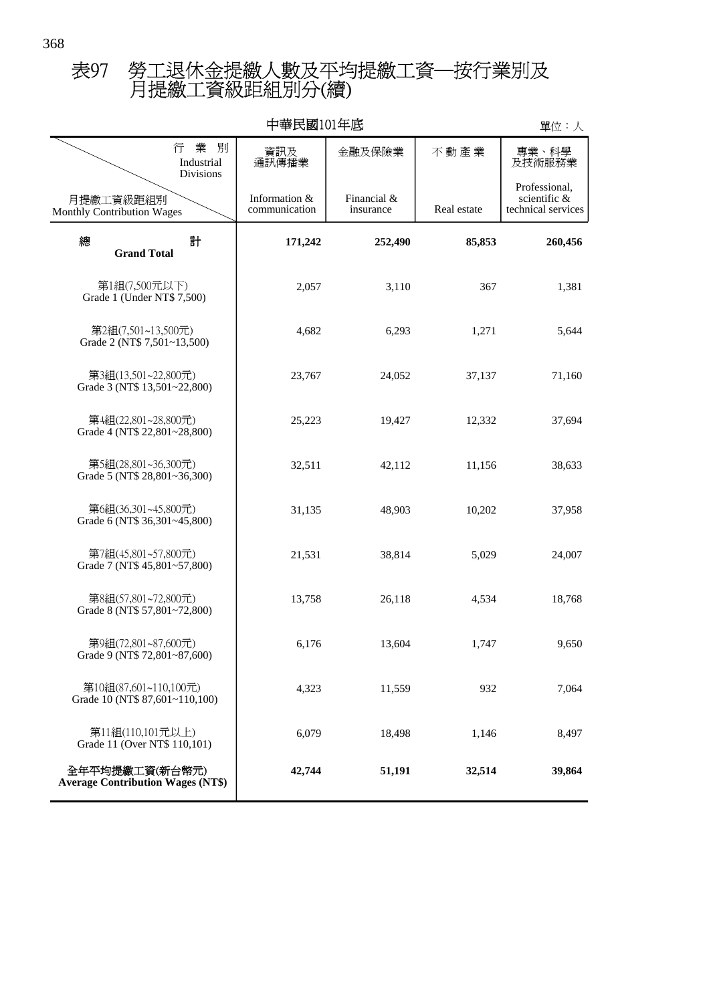## 月提繳工資級距組別分(續) 表97 勞工退休金提繳人數及平均提繳工資─按行業別及

| 中華民國101年底                                                  |                                |                          |             | 單位:人                                                |
|------------------------------------------------------------|--------------------------------|--------------------------|-------------|-----------------------------------------------------|
| 業<br>別<br>行<br>Industrial<br>Divisions                     | 資訊及<br>通訊傳播業                   | 金融及保險業                   | 不動產業        | 專業、科學<br>及技術服務業                                     |
| 月提繳工資級距組別<br>Monthly Contribution Wages                    | Information &<br>communication | Financial &<br>insurance | Real estate | Professional,<br>scientific &<br>technical services |
| 計<br>總<br><b>Grand Total</b>                               | 171,242                        | 252,490                  | 85,853      | 260,456                                             |
| 第1組(7,500元以下)<br>Grade 1 (Under NT\$ 7,500)                | 2,057                          | 3,110                    | 367         | 1,381                                               |
| 第2組(7,501~13,500元)<br>Grade 2 (NT\$ 7,501~13,500)          | 4,682                          | 6,293                    | 1,271       | 5,644                                               |
| 第3組(13,501~22,800元)<br>Grade 3 (NT\$ 13,501~22,800)        | 23,767                         | 24,052                   | 37,137      | 71,160                                              |
| 第4組(22,801~28,800元)<br>Grade 4 (NT\$ 22,801~28,800)        | 25,223                         | 19,427                   | 12,332      | 37,694                                              |
| 第5組(28,801~36,300元)<br>Grade 5 (NT\$ 28,801~36,300)        | 32,511                         | 42,112                   | 11,156      | 38,633                                              |
| 第6組(36,301~45,800元)<br>Grade 6 (NT\$ 36,301~45,800)        | 31,135                         | 48,903                   | 10,202      | 37,958                                              |
| 第7組(45,801~57,800元)<br>Grade 7 (NT\$ 45,801~57,800)        | 21,531                         | 38,814                   | 5,029       | 24,007                                              |
| 第8組(57,801~72,800元)<br>Grade 8 (NT\$ 57,801~72,800)        | 13,758                         | 26,118                   | 4,534       | 18,768                                              |
| 第9組(72,801~87,600元)<br>Grade 9 (NT\$ 72,801~87,600)        | 6,176                          | 13,604                   | 1,747       | 9,650                                               |
| 第10組(87,601~110,100元)<br>Grade 10 (NT\$ 87,601~110,100)    | 4,323                          | 11,559                   | 932         | 7,064                                               |
| 第11組(110,101元以上)<br>Grade 11 (Over NT\$ 110,101)           | 6,079                          | 18,498                   | 1,146       | 8,497                                               |
| 全年平均提繳工資(新台幣元)<br><b>Average Contribution Wages (NT\$)</b> | 42,744                         | 51,191                   | 32,514      | 39,864                                              |